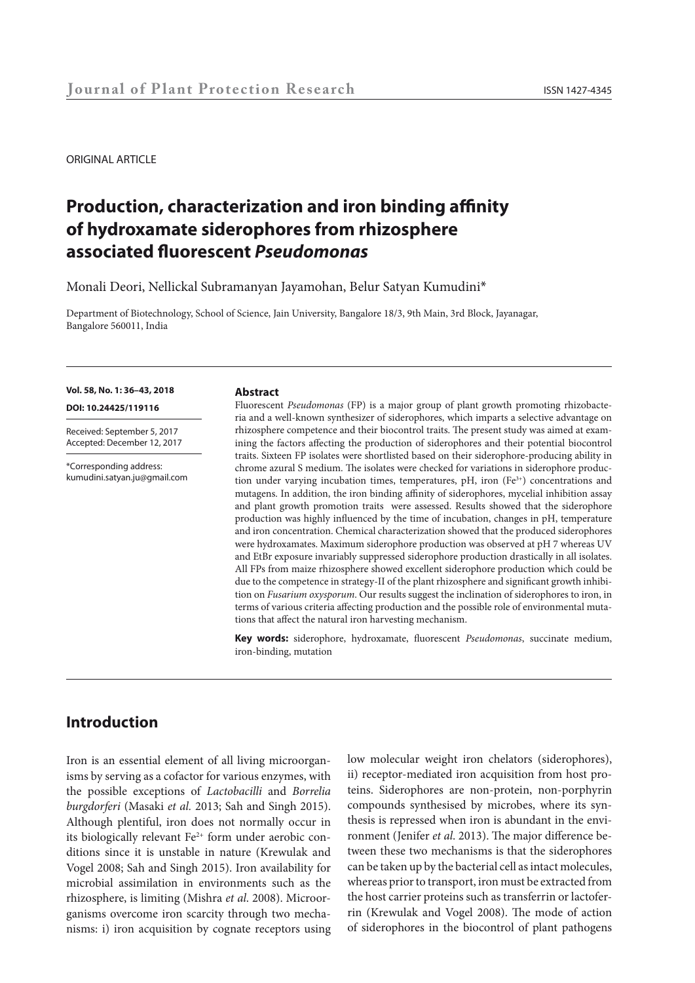ORIGINAL ARTICLE

# **Production, characterization and iron binding affinity of hydroxamate siderophores from rhizosphere associated fluorescent** *Pseudomonas*

Monali Deori, Nellickal Subramanyan Jayamohan, Belur Satyan Kumudini\*

Department of Biotechnology, School of Science, Jain University, Bangalore 18/3, 9th Main, 3rd Block, Jayanagar, Bangalore 560011, India

#### **Vol. 58, No. 1: 36–43, 2018**

**DOI: 10.24425/119116**

Received: September 5, 2017 Accepted: December 12, 2017

\*Corresponding address: kumudini.satyan.ju@gmail.com

#### **Abstract**

Fluorescent *Pseudomonas* (FP) is a major group of plant growth promoting rhizobacteria and a well-known synthesizer of siderophores, which imparts a selective advantage on rhizosphere competence and their biocontrol traits. The present study was aimed at examining the factors affecting the production of siderophores and their potential biocontrol traits. Sixteen FP isolates were shortlisted based on their siderophore-producing ability in chrome azural S medium. The isolates were checked for variations in siderophore production under varying incubation times, temperatures,  $pH$ , iron (Fe<sup>3+</sup>) concentrations and mutagens. In addition, the iron binding affinity of siderophores, mycelial inhibition assay and plant growth promotion traits were assessed. Results showed that the siderophore production was highly influenced by the time of incubation, changes in pH, temperature and iron concentration. Chemical characterization showed that the produced siderophores were hydroxamates. Maximum siderophore production was observed at pH 7 whereas UV and EtBr exposure invariably suppressed siderophore production drastically in all isolates. All FPs from maize rhizosphere showed excellent siderophore production which could be due to the competence in strategy-II of the plant rhizosphere and significant growth inhibition on *Fusarium oxysporum*. Our results suggest the inclination of siderophores to iron, in terms of various criteria affecting production and the possible role of environmental mutations that affect the natural iron harvesting mechanism.

**Key words:** siderophore, hydroxamate, fluorescent *Pseudomonas*, succinate medium, iron-binding, mutation

# **Introduction**

Iron is an essential element of all living microorganisms by serving as a cofactor for various enzymes, with the possible exceptions of *Lactobacilli* and *Borrelia burgdorferi* (Masaki *et al.* 2013; Sah and Singh 2015). Although plentiful, iron does not normally occur in its biologically relevant  $Fe^{2+}$  form under aerobic conditions since it is unstable in nature (Krewulak and Vogel 2008; Sah and Singh 2015). Iron availability for microbial assimilation in environments such as the rhizosphere, is limiting (Mishra *et al*. 2008). Microorganisms overcome iron scarcity through two mechanisms: i) iron acquisition by cognate receptors using low molecular weight iron chelators (siderophores), ii) receptor-mediated iron acquisition from host proteins. Siderophores are non-protein, non-porphyrin compounds synthesised by microbes, where its synthesis is repressed when iron is abundant in the environment (Jenifer *et al*. 2013). The major difference between these two mechanisms is that the siderophores can be taken up by the bacterial cell as intact molecules, whereas prior to transport, iron must be extracted from the host carrier proteins such as transferrin or lactoferrin (Krewulak and Vogel 2008). The mode of action of siderophores in the biocontrol of plant pathogens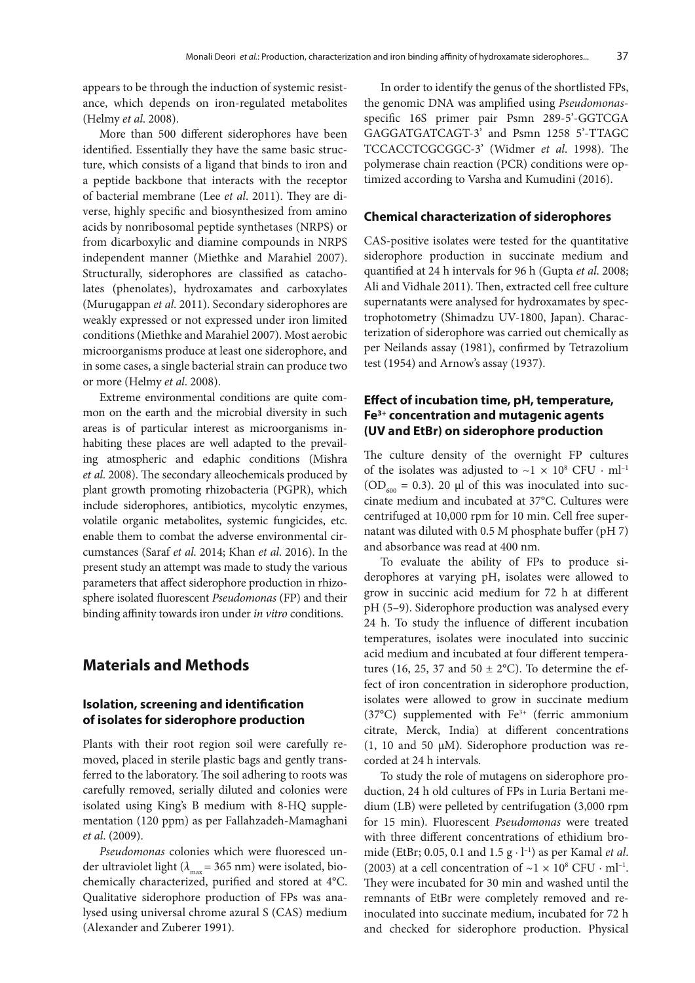appears to be through the induction of systemic resistance, which depends on iron-regulated metabolites (Helmy *et al*. 2008).

More than 500 different siderophores have been identified. Essentially they have the same basic structure, which consists of a ligand that binds to iron and a peptide backbone that interacts with the receptor of bacterial membrane (Lee *et al*. 2011). They are diverse, highly specific and biosynthesized from amino acids by nonribosomal peptide synthetases (NRPS) or from dicarboxylic and diamine compounds in NRPS independent manner (Miethke and Marahiel 2007). Structurally, siderophores are classified as catacholates (phenolates), hydroxamates and carboxylates (Murugappan *et al*. 2011). Secondary siderophores are weakly expressed or not expressed under iron limited conditions (Miethke and Marahiel 2007). Most aerobic microorganisms produce at least one siderophore, and in some cases, a single bacterial strain can produce two or more (Helmy *et al*. 2008).

Extreme environmental conditions are quite common on the earth and the microbial diversity in such areas is of particular interest as microorganisms inhabiting these places are well adapted to the prevailing atmospheric and edaphic conditions (Mishra *et al*. 2008). The secondary alleochemicals produced by plant growth promoting rhizobacteria (PGPR), which include siderophores, antibiotics, mycolytic enzymes, volatile organic metabolites, systemic fungicides, etc. enable them to combat the adverse environmental circumstances (Saraf *et al*. 2014; Khan *et al*. 2016). In the present study an attempt was made to study the various parameters that affect siderophore production in rhizosphere isolated fluorescent *Pseudomonas* (FP) and their binding affinity towards iron under *in vitro* conditions.

# **Materials and Methods**

# **Isolation, screening and identification of isolates for siderophore production**

Plants with their root region soil were carefully removed, placed in sterile plastic bags and gently transferred to the laboratory. The soil adhering to roots was carefully removed, serially diluted and colonies were isolated using King's B medium with 8-HQ supplementation (120 ppm) as per Fallahzadeh-Mamaghani *et al*. (2009).

*Pseudomonas* colonies which were fluoresced under ultraviolet light ( $\lambda_{\text{max}}$  = 365 nm) were isolated, biochemically characterized, purified and stored at 4°C. Qualitative siderophore production of FPs was analysed using universal chrome azural S (CAS) medium (Alexander and Zuberer 1991).

In order to identify the genus of the shortlisted FPs, the genomic DNA was amplified using *Pseudomonas*specific 16S primer pair Psmn 289-5'-GGTCGA GAGGATGATCAGT-3' and Psmn 1258 5'-TTAGC TCCACCTCGCGGC-3' (Widmer *et al*. 1998). The polymerase chain reaction (PCR) conditions were optimized according to Varsha and Kumudini (2016).

### **Chemical characterization of siderophores**

CAS-positive isolates were tested for the quantitative siderophore production in succinate medium and quantified at 24 h intervals for 96 h (Gupta *et al*. 2008; Ali and Vidhale 2011). Then, extracted cell free culture supernatants were analysed for hydroxamates by spectrophotometry (Shimadzu UV-1800, Japan). Characterization of siderophore was carried out chemically as per Neilands assay (1981), confirmed by Tetrazolium test (1954) and Arnow's assay (1937).

# **Effect of incubation time, pH, temperature, Fe3+ concentration and mutagenic agents (UV and EtBr) on siderophore production**

The culture density of the overnight FP cultures of the isolates was adjusted to  $\sim$ 1 × 10<sup>8</sup> CFU · ml<sup>-1</sup> ( $OD<sub>600</sub> = 0.3$ ). 20 µl of this was inoculated into succinate medium and incubated at 37°C. Cultures were centrifuged at 10,000 rpm for 10 min. Cell free supernatant was diluted with 0.5 M phosphate buffer (pH 7) and absorbance was read at 400 nm.

To evaluate the ability of FPs to produce siderophores at varying pH, isolates were allowed to grow in succinic acid medium for 72 h at different pH (5–9). Siderophore production was analysed every 24 h. To study the influence of different incubation temperatures, isolates were inoculated into succinic acid medium and incubated at four different temperatures (16, 25, 37 and 50  $\pm$  2°C). To determine the effect of iron concentration in siderophore production, isolates were allowed to grow in succinate medium (37°C) supplemented with Fe3+ (ferric ammonium citrate, Merck, India) at different concentrations (1, 10 and 50 µM). Siderophore production was recorded at 24 h intervals.

To study the role of mutagens on siderophore production, 24 h old cultures of FPs in Luria Bertani medium (LB) were pelleted by centrifugation (3,000 rpm for 15 min). Fluorescent *Pseudomonas* were treated with three different concentrations of ethidium bromide (EtBr; 0.05, 0.1 and 1.5 g · l–1) as per Kamal *et al*. (2003) at a cell concentration of  $\sim$ 1 × 10<sup>8</sup> CFU · ml<sup>-1</sup>. They were incubated for 30 min and washed until the remnants of EtBr were completely removed and reinoculated into succinate medium, incubated for 72 h and checked for siderophore production. Physical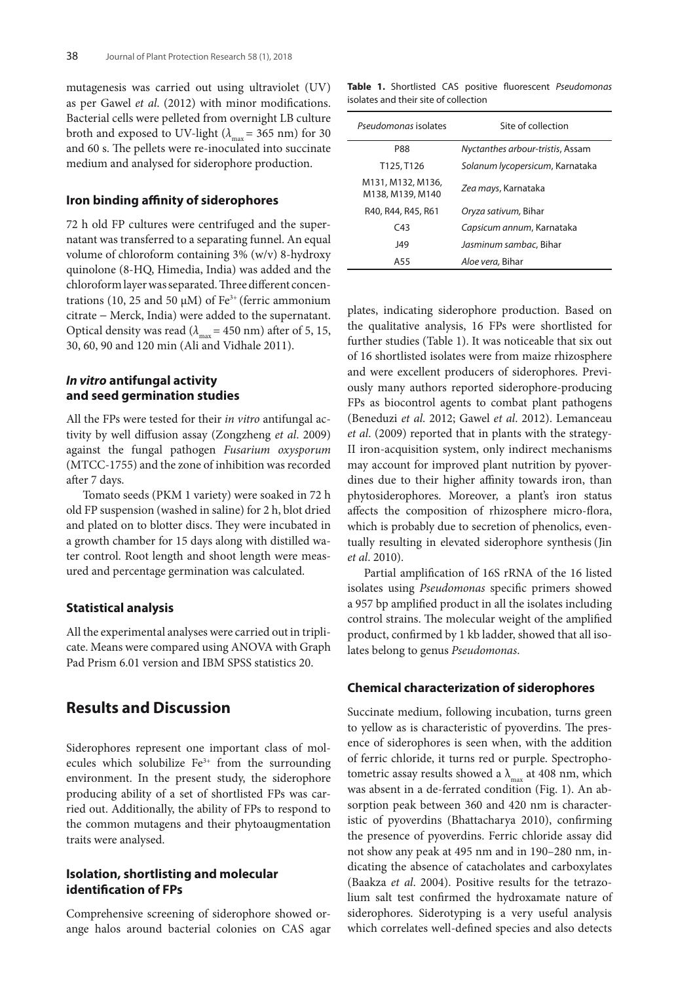mutagenesis was carried out using ultraviolet (UV) as per Gawel *et al*. (2012) with minor modifications. Bacterial cells were pelleted from overnight LB culture broth and exposed to UV-light ( $\lambda_{\text{max}}$  = 365 nm) for 30 and 60 s. The pellets were re-inoculated into succinate medium and analysed for siderophore production.

### **Iron binding affinity of siderophores**

72 h old FP cultures were centrifuged and the supernatant was transferred to a separating funnel. An equal volume of chloroform containing 3% (w/v) 8-hydroxy quinolone (8-HQ, Himedia, India) was added and the chloroform layer was separated. Three different concentrations (10, 25 and 50  $\mu$ M) of Fe<sup>3+</sup> (ferric ammonium citrate − Merck, India) were added to the supernatant. Optical density was read ( $\lambda_{\text{max}}$  = 450 nm) after of 5, 15, 30, 60, 90 and 120 min (Ali and Vidhale 2011).

### *In vitro* **antifungal activity and seed germination studies**

All the FPs were tested for their *in vitro* antifungal activity by well diffusion assay (Zongzheng *et al*. 2009) against the fungal pathogen *Fusarium oxysporum* (MTCC-1755) and the zone of inhibition was recorded after 7 days.

Tomato seeds (PKM 1 variety) were soaked in 72 h old FP suspension (washed in saline) for 2 h, blot dried and plated on to blotter discs. They were incubated in a growth chamber for 15 days along with distilled water control. Root length and shoot length were measured and percentage germination was calculated.

### **Statistical analysis**

All the experimental analyses were carried out in triplicate. Means were compared using ANOVA with Graph Pad Prism 6.01 version and IBM SPSS statistics 20.

# **Results and Discussion**

Siderophores represent one important class of molecules which solubilize  $Fe<sup>3+</sup>$  from the surrounding environment. In the present study, the siderophore producing ability of a set of shortlisted FPs was carried out. Additionally, the ability of FPs to respond to the common mutagens and their phytoaugmentation traits were analysed.

# **Isolation, shortlisting and molecular identification of FPs**

Comprehensive screening of siderophore showed orange halos around bacterial colonies on CAS agar

**Table 1.** Shortlisted CAS positive fluorescent *Pseudomonas* isolates and their site of collection

| Pseudomonas isolates                  | Site of collection               |  |
|---------------------------------------|----------------------------------|--|
| <b>P88</b>                            | Nyctanthes arbour-tristis, Assam |  |
| T125, T126                            | Solanum lycopersicum, Karnataka  |  |
| M131, M132, M136,<br>M138, M139, M140 | Zea mays, Karnataka              |  |
| R40, R44, R45, R61                    | Oryza sativum, Bihar             |  |
| C43                                   | Capsicum annum, Karnataka        |  |
| 149                                   | Jasminum sambac, Bihar           |  |
| A55                                   | Aloe vera, Bihar                 |  |

plates, indicating siderophore production. Based on the qualitative analysis, 16 FPs were shortlisted for further studies (Table 1). It was noticeable that six out of 16 shortlisted isolates were from maize rhizosphere and were excellent producers of siderophores. Previously many authors reported siderophore-producing FPs as biocontrol agents to combat plant pathogens (Beneduzi *et al*. 2012; Gawel *et al*. 2012). Lemanceau *et al*. (2009) reported that in plants with the strategy-II iron-acquisition system, only indirect mechanisms may account for improved plant nutrition by pyoverdines due to their higher affinity towards iron, than phytosiderophores. Moreover, a plant's iron status affects the composition of rhizosphere micro-flora, which is probably due to secretion of phenolics, eventually resulting in elevated siderophore synthesis (Jin *et al*. 2010).

Partial amplification of 16S rRNA of the 16 listed isolates using *Pseudomonas* specific primers showed a 957 bp amplified product in all the isolates including control strains. The molecular weight of the amplified product, confirmed by 1 kb ladder, showed that all isolates belong to genus *Pseudomonas*.

### **Chemical characterization of siderophores**

Succinate medium, following incubation, turns green to yellow as is characteristic of pyoverdins. The presence of siderophores is seen when, with the addition of ferric chloride, it turns red or purple. Spectrophotometric assay results showed a  $\lambda_{\text{max}}$  at 408 nm, which was absent in a de-ferrated condition (Fig. 1). An absorption peak between 360 and 420 nm is characteristic of pyoverdins (Bhattacharya 2010), confirming the presence of pyoverdins. Ferric chloride assay did not show any peak at 495 nm and in 190–280 nm, indicating the absence of catacholates and carboxylates (Baakza *et al*. 2004). Positive results for the tetrazolium salt test confirmed the hydroxamate nature of siderophores. Siderotyping is a very useful analysis which correlates well-defined species and also detects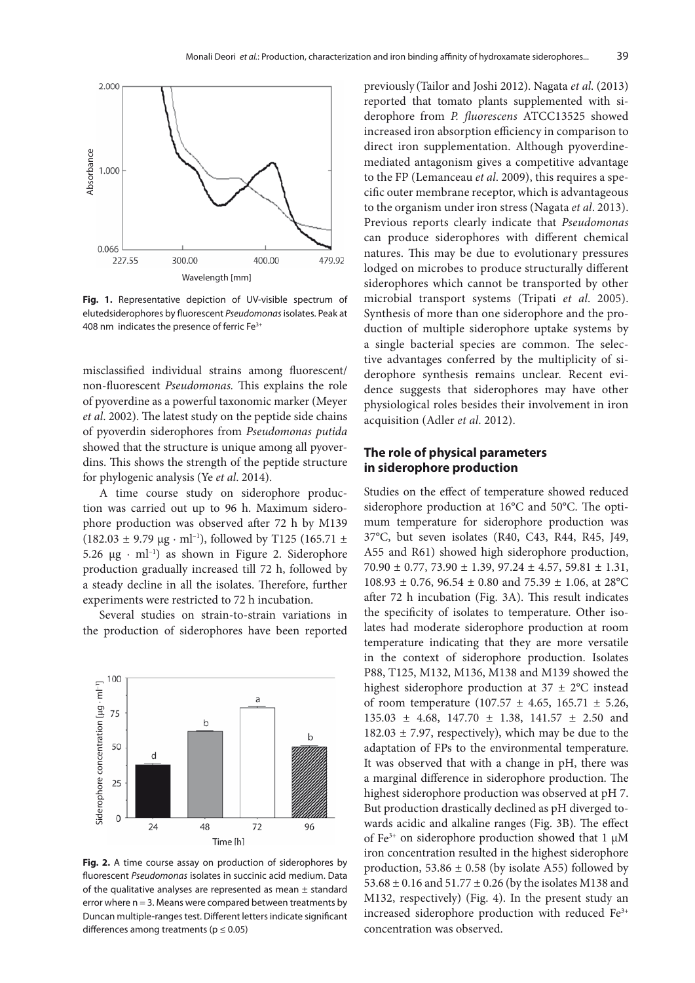

**Fig. 1.** Representative depiction of UV-visible spectrum of elutedsiderophores by fluorescent *Pseudomonas* isolates. Peak at

misclassified individual strains among fluorescent/ non-fluorescent *Pseudomonas.* This explains the role of pyoverdine as a powerful taxonomic marker (Meyer *et al*. 2002). The latest study on the peptide side chains of pyoverdin siderophores from *Pseudomonas putida* showed that the structure is unique among all pyoverdins. This shows the strength of the peptide structure for phylogenic analysis (Ye *et al*. 2014).

A time course study on siderophore production was carried out up to 96 h. Maximum siderophore production was observed after 72 h by M139  $(182.03 \pm 9.79 \text{ µg} \cdot \text{ml}^{-1})$ , followed by T125 (165.71 ± 5.26  $\mu$ g · ml<sup>-1</sup>) as shown in Figure 2. Siderophore production gradually increased till 72 h, followed by a steady decline in all the isolates. Therefore, further experiments were restricted to 72 h incubation.

Several studies on strain-to-strain variations in the production of siderophores have been reported



**Fig. 2.** A time course assay on production of siderophores by fluorescent *Pseudomonas* isolates in succinic acid medium. Data of the qualitative analyses are represented as mean  $\pm$  standard error where  $n = 3$ . Means were compared between treatments by Duncan multiple-ranges test. Different letters indicate significant

previously (Tailor and Joshi 2012). Nagata *et al*. (2013) reported that tomato plants supplemented with siderophore from *P. fluorescens* ATCC13525 showed increased iron absorption efficiency in comparison to direct iron supplementation. Although pyoverdinemediated antagonism gives a competitive advantage to the FP (Lemanceau *et al*. 2009), this requires a specific outer membrane receptor, which is advantageous to the organism under iron stress (Nagata *et al*. 2013). Previous reports clearly indicate that *Pseudomonas* can produce siderophores with different chemical natures. This may be due to evolutionary pressures lodged on microbes to produce structurally different siderophores which cannot be transported by other microbial transport systems (Tripati *et al*. 2005). Synthesis of more than one siderophore and the production of multiple siderophore uptake systems by a single bacterial species are common. The selective advantages conferred by the multiplicity of siderophore synthesis remains unclear. Recent evidence suggests that siderophores may have other physiological roles besides their involvement in iron acquisition (Adler *et al*. 2012).

# **The role of physical parameters in siderophore production**

Studies on the effect of temperature showed reduced siderophore production at 16°C and 50°C. The optimum temperature for siderophore production was 37°C, but seven isolates (R40, C43, R44, R45, J49, A55 and R61) showed high siderophore production,  $70.90 \pm 0.77$ ,  $73.90 \pm 1.39$ ,  $97.24 \pm 4.57$ ,  $59.81 \pm 1.31$ ,  $108.93 \pm 0.76$ ,  $96.54 \pm 0.80$  and  $75.39 \pm 1.06$ , at  $28^{\circ}$ C after 72 h incubation (Fig. 3A). This result indicates the specificity of isolates to temperature. Other isolates had moderate siderophore production at room temperature indicating that they are more versatile in the context of siderophore production. Isolates P88, T125, M132, M136, M138 and M139 showed the highest siderophore production at  $37 \pm 2$ °C instead of room temperature  $(107.57 \pm 4.65, 165.71 \pm 5.26,$ 135.03 ± 4.68, 147.70 ± 1.38, 141.57 ± 2.50 and  $182.03 \pm 7.97$ , respectively), which may be due to the adaptation of FPs to the environmental temperature. It was observed that with a change in pH, there was a marginal difference in siderophore production. The highest siderophore production was observed at pH 7. But production drastically declined as pH diverged towards acidic and alkaline ranges (Fig. 3B). The effect of Fe<sup>3+</sup> on siderophore production showed that 1  $\mu$ M iron concentration resulted in the highest siderophore production,  $53.86 \pm 0.58$  (by isolate A55) followed by 53.68 ± 0.16 and 51.77 ± 0.26 (by the isolates M138 and M132, respectively) (Fig. 4). In the present study an increased siderophore production with reduced Fe<sup>3+</sup> concentration was observed.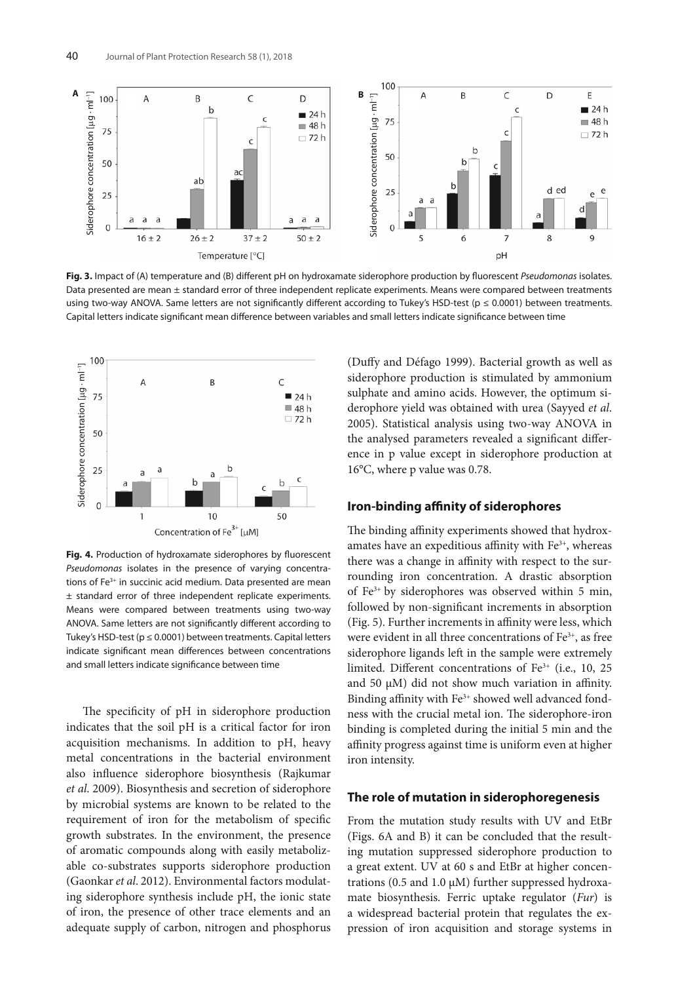

**Fig. 3.** Impact of (A) temperature and (B) different pH on hydroxamate siderophore production by fluorescent *Pseudomonas* isolates. Data presented are mean ± standard error of three independent replicate experiments. Means were compared between treatments using two-way ANOVA. Same letters are not significantly different according to Tukey's HSD-test ( $p \le 0.0001$ ) between treatments. Capital letters indicate significant mean difference between variables and small letters indicate significance between time



**Fig. 4.** Production of hydroxamate siderophores by fluorescent *Pseudomonas* isolates in the presence of varying concentrations of Fe<sup>3+</sup> in succinic acid medium. Data presented are mean ± standard error of three independent replicate experiments. Means were compared between treatments using two-way ANOVA. Same letters are not significantly different according to Tukey's HSD-test ( $p \le 0.0001$ ) between treatments. Capital letters indicate significant mean differences between concentrations

The specificity of pH in siderophore production indicates that the soil pH is a critical factor for iron acquisition mechanisms. In addition to pH, heavy metal concentrations in the bacterial environment also influence siderophore biosynthesis (Rajkumar *et al*. 2009). Biosynthesis and secretion of siderophore by microbial systems are known to be related to the requirement of iron for the metabolism of specific growth substrates. In the environment, the presence of aromatic compounds along with easily metabolizable co-substrates supports siderophore production (Gaonkar *et al*. 2012). Environmental factors modulating siderophore synthesis include pH, the ionic state of iron, the presence of other trace elements and an adequate supply of carbon, nitrogen and phosphorus (Duffy and Défago 1999). Bacterial growth as well as siderophore production is stimulated by ammonium sulphate and amino acids. However, the optimum siderophore yield was obtained with urea (Sayyed *et al*. 2005). Statistical analysis using two-way ANOVA in the analysed parameters revealed a significant difference in p value except in siderophore production at 16°C, where p value was 0.78.

### **Iron-binding affinity of siderophores**

The binding affinity experiments showed that hydroxamates have an expeditious affinity with Fe<sup>3+</sup>, whereas there was a change in affinity with respect to the surrounding iron concentration. A drastic absorption of Fe3+ by siderophores was observed within 5 min, followed by non-significant increments in absorption (Fig. 5). Further increments in affinity were less, which were evident in all three concentrations of  $Fe<sup>3+</sup>$ , as free siderophore ligands left in the sample were extremely limited. Different concentrations of  $Fe<sup>3+</sup>$  (i.e., 10, 25 and 50 µM) did not show much variation in affinity. Binding affinity with Fe<sup>3+</sup> showed well advanced fondness with the crucial metal ion. The siderophore-iron binding is completed during the initial 5 min and the affinity progress against time is uniform even at higher iron intensity.

### **The role of mutation in siderophoregenesis**

From the mutation study results with UV and EtBr (Figs. 6A and B) it can be concluded that the resulting mutation suppressed siderophore production to a great extent. UV at 60 s and EtBr at higher concentrations (0.5 and 1.0 µM) further suppressed hydroxamate biosynthesis. Ferric uptake regulator (*Fur*) is a widespread bacterial protein that regulates the expression of iron acquisition and storage systems in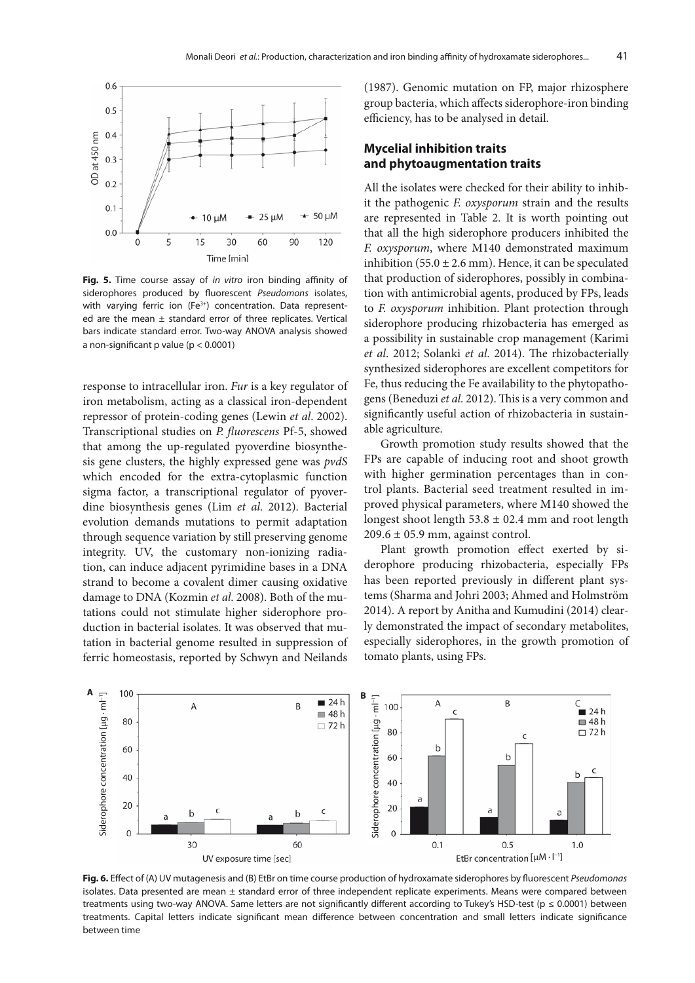

**Fig. 5.** Time course assay of *in vitro* iron binding affinity of siderophores produced by fluorescent *Pseudomons* isolates, with varying ferric ion (Fe<sup>3+</sup>) concentration. Data represented are the mean  $\pm$  standard error of three replicates. Vertical bars indicate standard error. Two-way ANOVA analysis showed a non-significant p value (p < 0.0001)

response to intracellular iron. *Fur* is a key regulator of iron metabolism, acting as a classical iron-dependent repressor of protein-coding genes (Lewin *et al*. 2002). Transcriptional studies on *P. fluorescens* Pf-5, showed that among the up-regulated pyoverdine biosynthesis gene clusters, the highly expressed gene was *pvdS* which encoded for the extra-cytoplasmic function sigma factor, a transcriptional regulator of pyoverdine biosynthesis genes (Lim *et al*. 2012). Bacterial evolution demands mutations to permit adaptation through sequence variation by still preserving genome integrity. UV, the customary non-ionizing radiation, can induce adjacent pyrimidine bases in a DNA strand to become a covalent dimer causing oxidative damage to DNA (Kozmin *et al*. 2008). Both of the mutations could not stimulate higher siderophore production in bacterial isolates. It was observed that mutation in bacterial genome resulted in suppression of ferric homeostasis, reported by Schwyn and Neilands (1987). Genomic mutation on FP, major rhizosphere group bacteria, which affects siderophore-iron binding efficiency, has to be analysed in detail.

# **Mycelial inhibition traits and phytoaugmentation traits**

All the isolates were checked for their ability to inhibit the pathogenic *F. oxysporum* strain and the results are represented in Table 2. It is worth pointing out that all the high siderophore producers inhibited the *F. oxysporum*, where M140 demonstrated maximum inhibition (55.0  $\pm$  2.6 mm). Hence, it can be speculated that production of siderophores, possibly in combination with antimicrobial agents, produced by FPs, leads to *F. oxysporum* inhibition. Plant protection through siderophore producing rhizobacteria has emerged as a possibility in sustainable crop management (Karimi *et al*. 2012; Solanki *et al*. 2014). The rhizobacterially synthesized siderophores are excellent competitors for Fe, thus reducing the Fe availability to the phytopathogens (Beneduzi *et al*. 2012). This is a very common and significantly useful action of rhizobacteria in sustainable agriculture.

Growth promotion study results showed that the FPs are capable of inducing root and shoot growth with higher germination percentages than in control plants. Bacterial seed treatment resulted in improved physical parameters, where M140 showed the longest shoot length  $53.8 \pm 02.4$  mm and root length  $209.6 \pm 05.9$  mm, against control.

Plant growth promotion effect exerted by siderophore producing rhizobacteria, especially FPs has been reported previously in different plant systems (Sharma and Johri 2003; Ahmed and Holmström 2014). A report by Anitha and Kumudini (2014) clearly demonstrated the impact of secondary metabolites, especially siderophores, in the growth promotion of tomato plants, using FPs.



**Fig. 6.** Effect of (A) UV mutagenesis and (B) EtBr on time course production of hydroxamate siderophores by fluorescent *Pseudomonas* isolates. Data presented are mean  $\pm$  standard error of three independent replicate experiments. Means were compared between treatments using two-way ANOVA. Same letters are not significantly different according to Tukey's HSD-test (p ≤ 0.0001) between treatments. Capital letters indicate significant mean difference between concentration and small letters indicate significance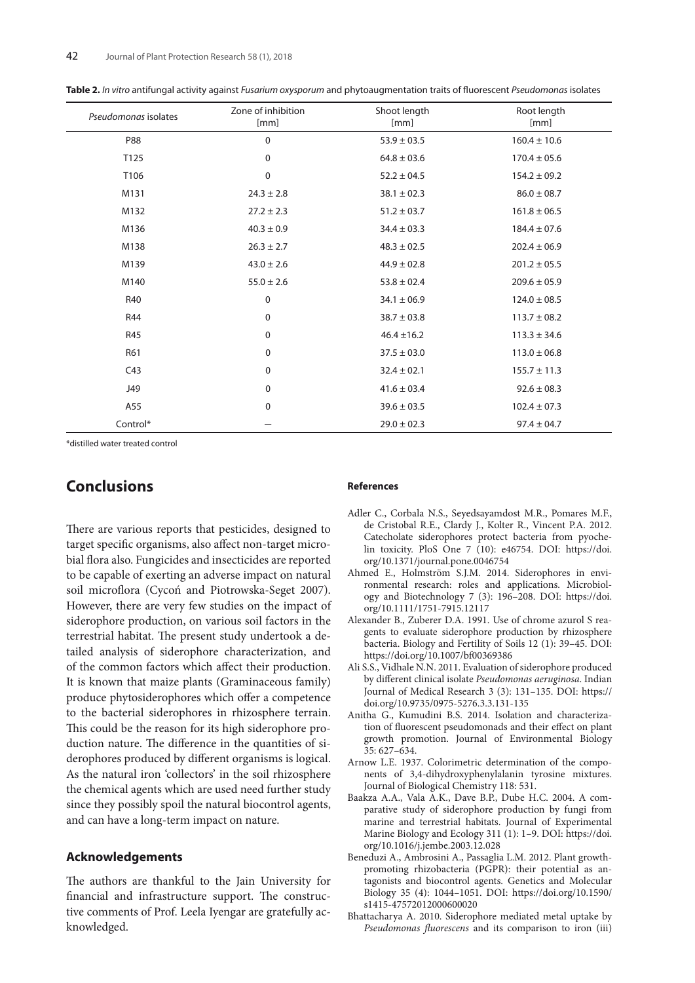| Pseudomonas isolates | Zone of inhibition<br>[mm] | Shoot length<br>[mm] | Root length<br>[mm] |
|----------------------|----------------------------|----------------------|---------------------|
| <b>P88</b>           | $\mathbf 0$                | $53.9 \pm 03.5$      | $160.4 \pm 10.6$    |
| T125                 | $\mathbf 0$                | $64.8 \pm 03.6$      | $170.4 \pm 05.6$    |
| T106                 | $\mathbf 0$                | $52.2 \pm 04.5$      | $154.2 \pm 09.2$    |
| M131                 | $24.3 \pm 2.8$             | $38.1 \pm 02.3$      | $86.0 \pm 08.7$     |
| M132                 | $27.2 \pm 2.3$             | $51.2 \pm 03.7$      | $161.8 \pm 06.5$    |
| M136                 | $40.3 \pm 0.9$             | $34.4 \pm 03.3$      | $184.4 \pm 07.6$    |
| M138                 | $26.3 \pm 2.7$             | $48.3 \pm 02.5$      | $202.4 \pm 06.9$    |
| M139                 | $43.0 \pm 2.6$             | $44.9 \pm 02.8$      | $201.2 \pm 05.5$    |
| M140                 | $55.0 \pm 2.6$             | $53.8 \pm 02.4$      | $209.6 \pm 05.9$    |
| R40                  | $\mathbf 0$                | $34.1 \pm 06.9$      | $124.0 \pm 08.5$    |
| <b>R44</b>           | 0                          | $38.7 \pm 03.8$      | $113.7 \pm 08.2$    |
| <b>R45</b>           | $\mathbf 0$                | $46.4 \pm 16.2$      | $113.3 \pm 34.6$    |
| R61                  | $\mathbf 0$                | $37.5 \pm 03.0$      | $113.0 \pm 06.8$    |
| C43                  | $\mathbf 0$                | $32.4 \pm 02.1$      | $155.7 \pm 11.3$    |
| J49                  | $\mathbf 0$                | $41.6 \pm 03.4$      | $92.6 \pm 08.3$     |
| A55                  | $\mathbf 0$                | $39.6 \pm 03.5$      | $102.4 \pm 07.3$    |
| Control*             |                            | $29.0 \pm 02.3$      | $97.4 \pm 04.7$     |

**Table 2.** *In vitro* antifungal activity against *Fusarium oxysporum* and phytoaugmentation traits of fluorescent *Pseudomonas* isolates

\*distilled water treated control

# **Conclusions**

There are various reports that pesticides, designed to target specific organisms, also affect non-target microbial flora also. Fungicides and insecticides are reported to be capable of exerting an adverse impact on natural soil microflora (Cycoń and Piotrowska-Seget 2007). However, there are very few studies on the impact of siderophore production, on various soil factors in the terrestrial habitat. The present study undertook a detailed analysis of siderophore characterization, and of the common factors which affect their production. It is known that maize plants (Graminaceous family) produce phytosiderophores which offer a competence to the bacterial siderophores in rhizosphere terrain. This could be the reason for its high siderophore production nature. The difference in the quantities of siderophores produced by different organisms is logical. As the natural iron 'collectors' in the soil rhizosphere the chemical agents which are used need further study since they possibly spoil the natural biocontrol agents, and can have a long-term impact on nature.

### **Acknowledgements**

The authors are thankful to the Jain University for financial and infrastructure support. The constructive comments of Prof. Leela Iyengar are gratefully acknowledged.

#### **References**

- Adler C., Corbala N.S., Seyedsayamdost M.R., Pomares M.F., de Cristobal R.E., Clardy J., Kolter R., Vincent P.A. 2012. Catecholate siderophores protect bacteria from pyochelin toxicity. PloS One 7 (10): e46754. DOI: https://doi. org/10.1371/journal.pone.0046754
- Ahmed E., Holmström S.J.M. 2014. Siderophores in environmental research: roles and applications. Microbiology and Biotechnology 7 (3): 196–208. DOI: https://doi. org/10.1111/1751-7915.12117
- Alexander B., Zuberer D.A. 1991. Use of chrome azurol S reagents to evaluate siderophore production by rhizosphere bacteria. Biology and Fertility of Soils 12 (1): 39–45. DOI: https://doi.org/10.1007/bf00369386
- Ali S.S., Vidhale N.N. 2011. Evaluation of siderophore produced by different clinical isolate *Pseudomonas aeruginosa*. Indian Journal of Medical Research 3 (3): 131–135. DOI: https:// doi.org/10.9735/0975-5276.3.3.131-135
- Anitha G., Kumudini B.S. 2014. Isolation and characterization of fluorescent pseudomonads and their effect on plant growth promotion. Journal of Environmental Biology 35: 627–634.
- Arnow L.E. 1937. Colorimetric determination of the components of 3,4-dihydroxyphenylalanin tyrosine mixtures. Journal of Biological Chemistry 118: 531.
- Baakza A.A., Vala A.K., Dave B.P., Dube H.C. 2004. A comparative study of siderophore production by fungi from marine and terrestrial habitats. Journal of Experimental Marine Biology and Ecology 311 (1): 1–9. DOI: https://doi. org/10.1016/j.jembe.2003.12.028
- Beneduzi A., Ambrosini A., Passaglia L.M. 2012. Plant growthpromoting rhizobacteria (PGPR): their potential as antagonists and biocontrol agents. Genetics and Molecular Biology 35 (4): 1044–1051. DOI: https://doi.org/10.1590/ s1415-47572012000600020
- Bhattacharya A. 2010. Siderophore mediated metal uptake by *Pseudomonas fluorescens* and its comparison to iron (iii)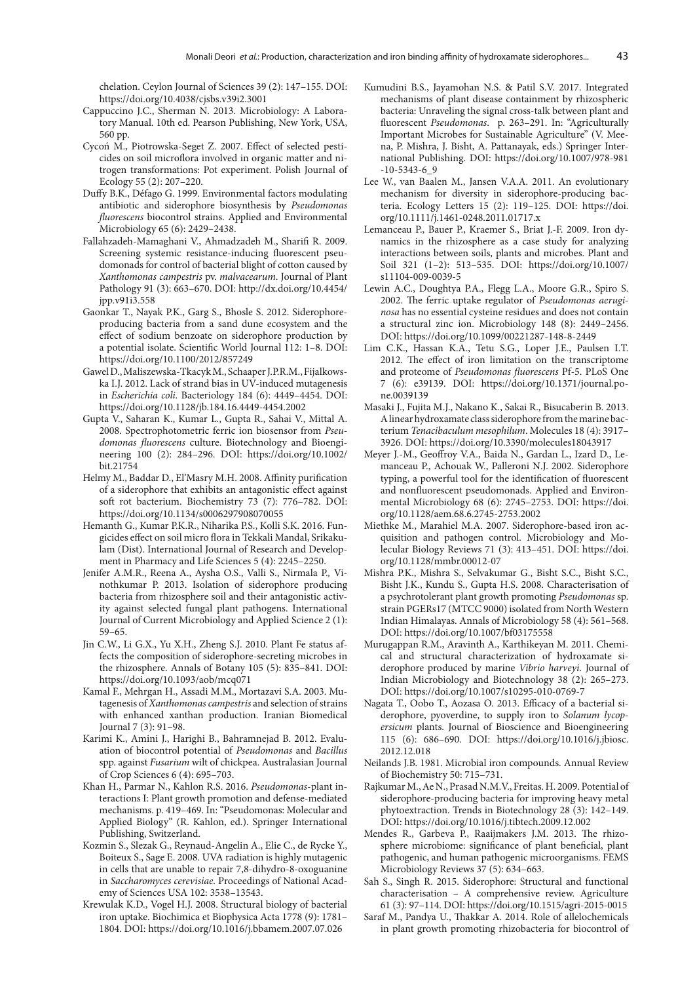chelation. Ceylon Journal of Sciences 39 (2): 147–155. DOI: https://doi.org/10.4038/cjsbs.v39i2.3001

- Cappuccino J.C., Sherman N. 2013. Microbiology: A Laboratory Manual. 10th ed. Pearson Publishing, New York, USA, 560 pp.
- Cycoń M., Piotrowska-Seget Z. 2007. Effect of selected pesticides on soil microflora involved in organic matter and nitrogen transformations: Pot experiment. Polish Journal of Ecology 55 (2): 207–220.
- Duffy B.K., Défago G. 1999. Environmental factors modulating antibiotic and siderophore biosynthesis by *Pseudomonas fluorescens* biocontrol strains. Applied and Environmental Microbiology 65 (6): 2429–2438.
- Fallahzadeh-Mamaghani V., Ahmadzadeh M., Sharifi R. 2009. Screening systemic resistance-inducing fluorescent pseudomonads for control of bacterial blight of cotton caused by *Xanthomonas campestris* pv. *malvacearum*. Journal of Plant Pathology 91 (3): 663–670. DOI: http://dx.doi.org/10.4454/ jpp.v91i3.558
- Gaonkar T., Nayak P.K., Garg S., Bhosle S. 2012. Siderophoreproducing bacteria from a sand dune ecosystem and the effect of sodium benzoate on siderophore production by a potential isolate. Scientific World Journal 112: 1–8. DOI: https://doi.org/10.1100/2012/857249
- Gawel D., Maliszewska-Tkacyk M., Schaaper J.P.R.M., Fijalkowska I.J. 2012. Lack of strand bias in UV-induced mutagenesis in *Escherichia coli*. Bacteriology 184 (6): 4449–4454. DOI: https://doi.org/10.1128/jb.184.16.4449-4454.2002
- Gupta V., Saharan K., Kumar L., Gupta R., Sahai V., Mittal A. 2008. Spectrophotometric ferric ion biosensor from *Pseudomonas fluorescens* culture. Biotechnology and Bioengineering 100 (2): 284–296. DOI: https://doi.org/10.1002/ bit.21754
- Helmy M., Baddar D., El'Masry M.H. 2008. Affinity purification of a siderophore that exhibits an antagonistic effect against soft rot bacterium. Biochemistry 73 (7): 776–782. DOI: https://doi.org/10.1134/s0006297908070055
- Hemanth G., Kumar P.K.R., Niharika P.S., Kolli S.K. 2016. Fungicides effect on soil micro flora in Tekkali Mandal, Srikakulam (Dist). International Journal of Research and Development in Pharmacy and Life Sciences 5 (4): 2245–2250.
- Jenifer A.M.R., Reena A., Aysha O.S., Valli S., Nirmala P.*,* Vinothkumar P. 2013. Isolation of siderophore producing bacteria from rhizosphere soil and their antagonistic activity against selected fungal plant pathogens. International Journal of Current Microbiology and Applied Science 2 (1): 59–65.
- Jin C.W., Li G.X., Yu X.H., Zheng S.J. 2010. Plant Fe status affects the composition of siderophore-secreting microbes in the rhizosphere. Annals of Botany 105 (5): 835–841. DOI: https://doi.org/10.1093/aob/mcq071
- Kamal F., Mehrgan H., Assadi M.M., Mortazavi S.A. 2003. Mutagenesis of *Xanthomonas campestris* and selection of strains with enhanced xanthan production. Iranian Biomedical Journal 7 (3): 91–98.
- Karimi K., Amini J., Harighi B., Bahramnejad B. 2012. Evaluation of biocontrol potential of *Pseudomonas* and *Bacillus* spp. against *Fusarium* wilt of chickpea. Australasian Journal of Crop Sciences 6 (4): 695–703.
- Khan H., Parmar N., Kahlon R.S. 2016. *Pseudomonas*-plant interactions I: Plant growth promotion and defense-mediated mechanisms. p. 419–469. In: "Pseudomonas: Molecular and Applied Biology" (R. Kahlon, ed.). Springer International Publishing, Switzerland.
- Kozmin S., Slezak G., Reynaud-Angelin A., Elie C., de Rycke Y., Boiteux S., Sage E. 2008. UVA radiation is highly mutagenic in cells that are unable to repair 7,8-dihydro-8-oxoguanine in *Saccharomyces cerevisiae*. Proceedings of National Academy of Sciences USA 102: 3538–13543.
- Krewulak K.D., Vogel H.J. 2008. Structural biology of bacterial iron uptake. Biochimica et Biophysica Acta 1778 (9): 1781– 1804. DOI: https://doi.org/10.1016/j.bbamem.2007.07.026
- Kumudini B.S., Jayamohan N.S. & Patil S.V. 2017. Integrated mechanisms of plant disease containment by rhizospheric bacteria: Unraveling the signal cross-talk between plant and fluorescent *Pseudomonas*. p. 263–291. In: "Agriculturally Important Microbes for Sustainable Agriculture" (V. Meena, P. Mishra, J. Bisht, A. Pattanayak, eds.) Springer International Publishing. DOI: https://doi.org/10.1007/978-981 -10-5343-6\_9
- Lee W., van Baalen M., Jansen V.A.A. 2011. An evolutionary mechanism for diversity in siderophore-producing bacteria. Ecology Letters 15 (2): 119–125. DOI: https://doi. org/10.1111/j.1461-0248.2011.01717.x
- Lemanceau P., Bauer P., Kraemer S., Briat J.-F. 2009. Iron dynamics in the rhizosphere as a case study for analyzing interactions between soils, plants and microbes. Plant and Soil 321 (1–2): 513–535. DOI: https://doi.org/10.1007/ s11104-009-0039-5
- Lewin A.C., Doughtya P.A., Flegg L.A., Moore G.R., Spiro S. 2002. The ferric uptake regulator of *Pseudomonas aeruginosa* has no essential cysteine residues and does not contain a structural zinc ion. Microbiology 148 (8): 2449–2456. DOI: https://doi.org/10.1099/00221287-148-8-2449
- Lim C.K., Hassan K.A., Tetu S.G., Loper J.E., Paulsen I.T. 2012. The effect of iron limitation on the transcriptome and proteome of *Pseudomonas fluorescens* Pf-5. PLoS One 7 (6): e39139. DOI: https://doi.org/10.1371/journal.pone.0039139
- Masaki J., Fujita M.J., Nakano K., Sakai R., Bisucaberin B. 2013. A linear hydroxamate class siderophore from the marine bacterium *Tenacibaculum mesophilum*. Molecules 18 (4): 3917– 3926. DOI: https://doi.org/10.3390/molecules18043917
- Meyer J.-M., Geoffroy V.A., Baida N., Gardan L., Izard D., Lemanceau P., Achouak W., Palleroni N.J. 2002. Siderophore typing, a powerful tool for the identification of fluorescent and nonfluorescent pseudomonads. Applied and Environmental Microbiology 68 (6): 2745–2753. DOI: https://doi. org/10.1128/aem.68.6.2745-2753.2002
- Miethke M., Marahiel M.A. 2007. Siderophore-based iron acquisition and pathogen control. Microbiology and Molecular Biology Reviews 71 (3): 413–451. DOI: https://doi. org/10.1128/mmbr.00012-07
- Mishra P.K., Mishra S., Selvakumar G., Bisht S.C., Bisht S.C., Bisht J.K., Kundu S., Gupta H.S. 2008. Characterisation of a psychrotolerant plant growth promoting *Pseudomonas* sp. strain PGERs17 (MTCC 9000) isolated from North Western Indian Himalayas. Annals of Microbiology 58 (4): 561–568. DOI: https://doi.org/10.1007/bf03175558
- Murugappan R.M., Aravinth A., Karthikeyan M. 2011. Chemical and structural characterization of hydroxamate siderophore produced by marine *Vibrio harveyi*. Journal of Indian Microbiology and Biotechnology 38 (2): 265–273. DOI: https://doi.org/10.1007/s10295-010-0769-7
- Nagata T., Oobo T., Aozasa O. 2013. Efficacy of a bacterial siderophore, pyoverdine, to supply iron to *Solanum lycopersicum* plants. Journal of Bioscience and Bioengineering 115 (6): 686–690. DOI: https://doi.org/10.1016/j.jbiosc. 2012.12.018
- Neilands J.B. 1981. Microbial iron compounds. Annual Review of Biochemistry 50: 715–731.
- Rajkumar M., Ae N., Prasad N.M.V., Freitas. H. 2009. Potential of siderophore-producing bacteria for improving heavy metal phytoextraction. Trends in Biotechnology 28 (3): 142–149. DOI: https://doi.org/10.1016/j.tibtech.2009.12.002
- Mendes R., Garbeva P., Raaijmakers J.M. 2013. The rhizosphere microbiome: significance of plant beneficial, plant pathogenic, and human pathogenic microorganisms. FEMS Microbiology Reviews 37 (5): 634–663.
- Sah S., Singh R. 2015. Siderophore: Structural and functional characterisation – A comprehensive review. Agriculture 61 (3): 97–114. DOI: https://doi.org/10.1515/agri-2015-0015
- Saraf M., Pandya U., Thakkar A. 2014. Role of allelochemicals in plant growth promoting rhizobacteria for biocontrol of